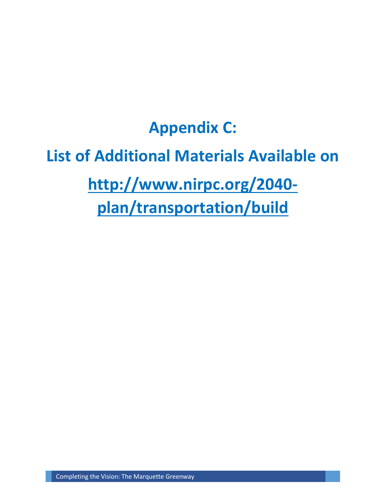**Appendix C: List of Additional Materials Available on http://www.nirpc.org/2040 plan/transportation/build**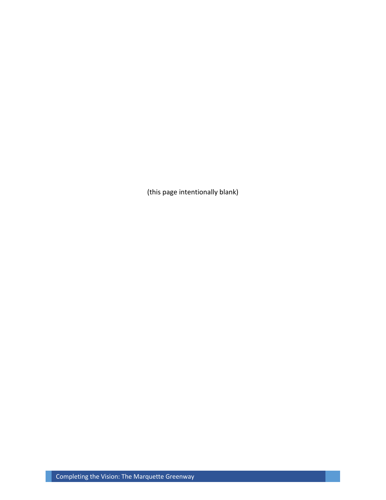(this page intentionally blank)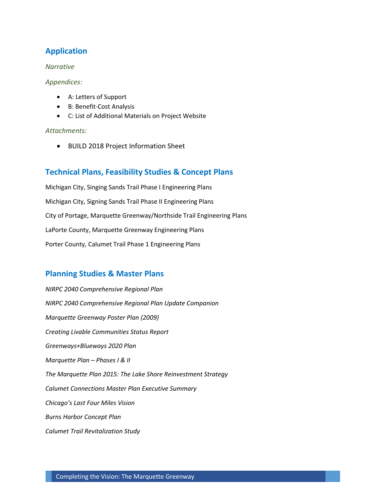# **Application**

### *Narrative*

### *Appendices:*

- A: Letters of Support
- B: Benefit-Cost Analysis
- C: List of Additional Materials on Project Website

### *Attachments:*

• BUILD 2018 Project Information Sheet

# **Technical Plans, Feasibility Studies & Concept Plans**

Michigan City, Singing Sands Trail Phase I Engineering Plans Michigan City, Signing Sands Trail Phase II Engineering Plans City of Portage, Marquette Greenway/Northside Trail Engineering Plans LaPorte County, Marquette Greenway Engineering Plans Porter County, Calumet Trail Phase 1 Engineering Plans

## **Planning Studies & Master Plans**

*NIRPC 2040 Comprehensive Regional Plan NIRPC 2040 Comprehensive Regional Plan Update Companion Marquette Greenway Poster Plan (2009) Creating Livable Communities Status Report Greenways+Blueways 2020 Plan Marquette Plan – Phases I & II The Marquette Plan 2015: The Lake Shore Reinvestment Strategy Calumet Connections Master Plan Executive Summary Chicago's Last Four Miles Vision Burns Harbor Concept Plan Calumet Trail Revitalization Study*